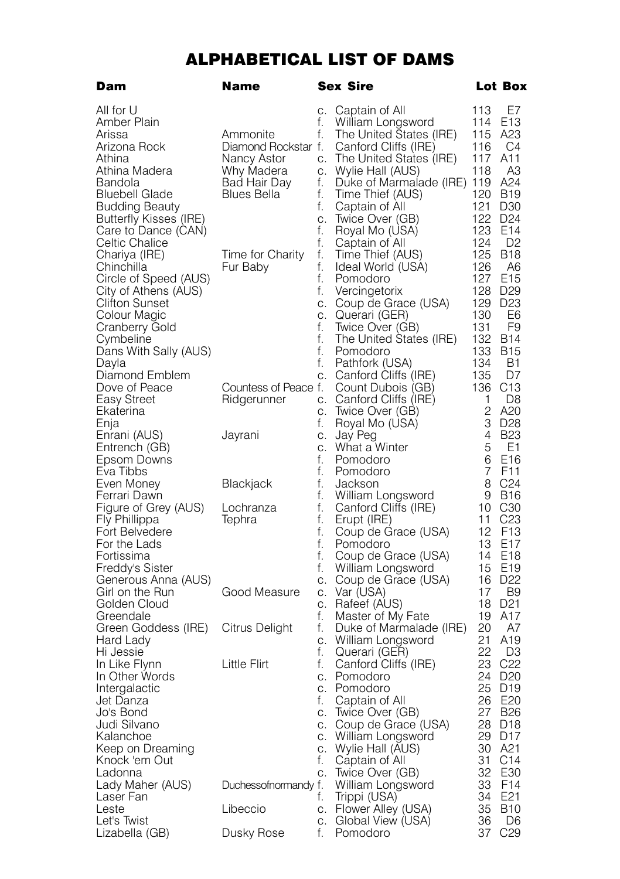## ALPHABETICAL LIST OF DAMS

| Dam                                           | Name                 |          | Sex Sire                                     |                     | Lot Box                            |
|-----------------------------------------------|----------------------|----------|----------------------------------------------|---------------------|------------------------------------|
| All for U                                     |                      | $C_{-}$  | Captain of All                               | 113                 | E7                                 |
| Amber Plain                                   |                      | f.       | William Longsword                            | 114                 | E <sub>13</sub>                    |
| Arissa                                        | Ammonite             | f.       | The United States (IRE)                      | 115                 | A23                                |
| Arizona Rock                                  | Diamond Rockstar f.  |          | Canford Cliffs (IRE)                         | 116                 | C4                                 |
| Athina                                        | Nancy Astor          | C.       | The United States (IRE)                      | 117                 | A11                                |
| Athina Madera                                 | Why Madera           | C.       | Wylie Hall (AUS)                             | 118                 | ΑЗ                                 |
| Bandola                                       | Bad Hair Day         | f.       | Duke of Marmalade (IRE) 119                  |                     | A24                                |
| <b>Bluebell Glade</b>                         | Blues Bella          | f.       | Time Thief (AUS)                             | 120                 | <b>B19</b>                         |
| Budding Beauty                                |                      | f.       | Captain of All                               | 121                 | D <sub>30</sub>                    |
| Butterfly Kisses (IRE)                        |                      | C.       | Twice Over (GB)                              | 122                 | D <sub>24</sub>                    |
| Care to Dance (CAN)                           |                      | f.       | Royal Mo (USA)                               | 123                 | E <sub>14</sub>                    |
| Celtic Chalice                                |                      | f.       | Captain of All                               | 124                 | D <sub>2</sub>                     |
| Chariya (IRE)                                 | Time for Charity     | f.       | Time Thief (AUS)                             | 125                 | <b>B18</b>                         |
| Chinchilla                                    | Fur Baby             | f.       | Ideal World (USA)                            | 126                 | A6                                 |
| Circle of Speed (AUS)                         |                      | f.<br>f. | Pomodoro                                     | 127<br>128          | E <sub>15</sub><br>D <sub>29</sub> |
| City of Athens (AUS)<br><b>Clifton Sunset</b> |                      | C.       | Vercingetorix<br>Coup de Grace (USA)         | 129                 | D <sub>23</sub>                    |
| Colour Magic                                  |                      | C.       | Querari (GER)                                | 130                 | E6                                 |
| Cranberry Gold                                |                      | f.       | Twice Over (GB)                              | 131                 | F9                                 |
| Cymbeline                                     |                      | f.       | The United States (IRE)                      | 132                 | B14                                |
| Dans With Sally (AUS)                         |                      | f.       | Pomodoro                                     | 133                 | <b>B15</b>                         |
| Davla                                         |                      | f.       | Pathfork (USA)                               | 134                 | <b>B1</b>                          |
| Diamond Emblem                                |                      | C.       | Canford Cliffs (IRE)                         | 135                 | D7                                 |
| Dove of Peace                                 | Countess of Peace f. |          | Count Dubois (GB)                            | 136                 | C <sub>13</sub>                    |
| Easy Street                                   | <b>Hidgerunner</b>   | С.       | Canford Cliffs (IRE)                         | 1                   | D8                                 |
| Ekaterina                                     |                      | C.       | Twice Over (GB)                              | 2                   | A20                                |
| Enja                                          |                      | f.       | Royal Mo (USA)                               | 3                   | D <sub>28</sub>                    |
| Enrani (AUS)                                  | Jayrani              | C.       | Jay Peg                                      | $\overline{4}$      | <b>B23</b>                         |
| Entrench (GB)                                 |                      | C.       | What a Winter                                | 5                   | E1                                 |
| Epsom Downs<br>Eva Tibbs                      |                      | f.<br>f. | Pomodoro<br>Pomodoro                         | 6<br>$\overline{7}$ | E <sub>16</sub><br>F <sub>11</sub> |
| Even Money                                    | Blackjack            | f.       | Jackson                                      | 8                   | C <sub>24</sub>                    |
| Ferrari Dawn                                  |                      | f.       | William Longsword                            | 9                   | <b>B16</b>                         |
| Figure of Grey (AUS)                          | Lochranza            | f.       | Canford Cliffs (IRE)                         | 10                  | C <sub>30</sub>                    |
| Fly Phillippa                                 | Tephra               | f.       | Erupt (IRE)                                  | 11                  | C23                                |
| Fort Belvedere                                |                      | f.       | Coup de Grace (USA)                          | 12                  | F <sub>13</sub>                    |
| For the Lads                                  |                      | f.       | Pomodoro                                     | 13                  | E17                                |
| Fortissima                                    |                      | f.       | Coup de Grace (USA)                          | 14                  | E <sub>18</sub>                    |
| Freddy's Sister                               |                      | f.       | William Longsword                            | 15                  | E <sub>19</sub>                    |
| Generous Anna (AUS)                           |                      | C.       | Coup de Grace (USA)                          | 16                  | D <sub>22</sub>                    |
| Girl on the Run                               | Good Measure         | С.       | Var (USA)                                    | 17                  | B <sub>9</sub>                     |
| Golden Cloud                                  |                      | C.       | Rafeef (AUS)                                 | 18                  | D <sub>21</sub>                    |
| Greendale<br>Green Goddess (IRE)              | Citrus Delight       | f.<br>f. | Master of My Fate<br>Duke of Marmalade (IRE) | 19<br>20            | A17<br>A7                          |
| Hard Lady                                     |                      | C.       | William Longsword                            | 21                  | A19                                |
| Hi Jessie                                     |                      | f.       | Querari (GER)                                | 22                  | D3                                 |
| In Like Flynn                                 | Little Flirt         | f.       | Canford Cliffs (IRE)                         | 23                  | C <sub>22</sub>                    |
| In Other Words                                |                      | C.       | Pomodoro                                     | 24                  | D <sub>20</sub>                    |
| Intergalactic                                 |                      | С.       | Pomodoro                                     | 25                  | D <sub>19</sub>                    |
| Jet Danza                                     |                      | f.       | Captain of All                               | 26                  | E <sub>20</sub>                    |
| Jo's Bond                                     |                      | C.       | Iwice Over (GB)                              | 27                  | <b>B26</b>                         |
| Judi Silvano                                  |                      | С.       | Coup de Grace (USA)                          | 28                  | D <sub>18</sub>                    |
| Kalanchoe                                     |                      | C.       | William Longsword                            | 29                  | D <sub>17</sub>                    |
| Keep on Dreaming                              |                      | C.       | Wylie Hall (AUS)                             | 30                  | A21                                |
| Knock 'em Out                                 |                      | t.       | Captain of All                               | 31                  | C14                                |
| Ladonna                                       |                      | С.       | Iwice Over (GB)                              | 32                  | E30<br>F <sub>14</sub>             |
| Lady Maher (AUS)<br>Laser Fan                 | Duchessofnormandy f. | f.       | William Longsword                            | 33<br>34            | E21                                |
| Leste                                         | Libeccio             | C.       | Trippi (USA)<br>Flower Alley (USA)           | 35                  | B10                                |
| Let's Twist                                   |                      | С.       | Global View (USA)                            | 36                  | D <sub>6</sub>                     |
| Lizabella (GB)                                | Dusky Rose           | f.       | Pomodoro                                     | 37                  | C <sub>29</sub>                    |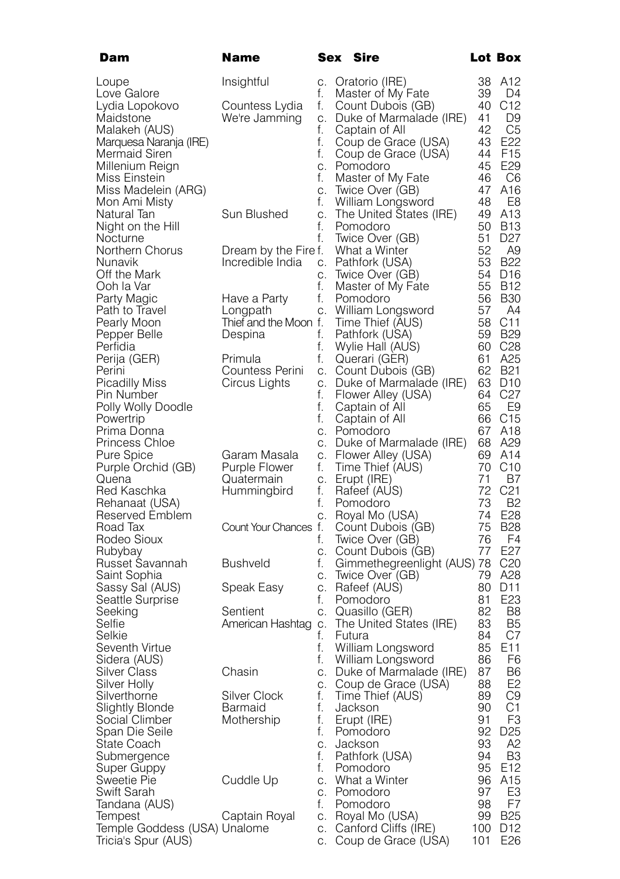| Dam                               | <b>Name</b>              |          | Sex Sire                                       |          | Lot Box               |
|-----------------------------------|--------------------------|----------|------------------------------------------------|----------|-----------------------|
| Loupe                             | Insightful               | С.       | Oratorio (IRE)                                 | 38       | A12                   |
| Love Galore                       |                          | f.       | Master of My Fate                              | 39       | D4                    |
| Lydia Lopokovo                    | Countess Lydia           | f.       | Count Dubois (GB)                              | 40       | C12                   |
| Maidstone                         | We're Jamming            | С.       | Duke of Marmalade (IRE)                        | 41       | D9                    |
| Malakeh (AUS)                     |                          | f.       | Captain of All                                 | 42       | C5                    |
| Marquesa Naranja (IRE)            |                          | f.       | Coup de Grace (USA)                            | 43       | E22                   |
| Mermaid Siren                     |                          | f.       | Coup de Grace (USA)                            | 44       | F <sub>15</sub>       |
| Millenium Reign                   |                          | C.       | Pomodoro                                       | 45       | E <sub>29</sub>       |
| Miss Einstein                     |                          | f.       | Master of My Fate                              | 46       | C6                    |
| Miss Madelein (ARG)               |                          | С.       | Twice Over (GB)                                | 47       | A16                   |
| Mon Ami Misty                     |                          | f.       | William Longsword                              | 48       | E8                    |
| Natural lan                       | Sun Blushed              | C.       | The United States (IRE)                        | 49       | A <sub>13</sub>       |
| Night on the Hill                 |                          | f.       | Pomodoro                                       | 50       | B13                   |
| Nocturne                          |                          | f.       | Twice Over (GB)                                | 51       | D <sub>27</sub>       |
| Northern Chorus                   | Dream by the Fire f.     |          | What a Winter                                  | 52       | A9<br>B22             |
| Nunavik<br>Off the Mark           | Incredible India         | С.<br>C. | Pathfork (USA)                                 | 53       | 54 D16                |
| Ooh la Var                        |                          | f.       | Twice Over (GB)                                |          | 55 B12                |
|                                   |                          | f.       | Master of My Fate<br>Pomodoro                  | 56       | <b>B30</b>            |
| Party Magic<br>Path to Travel     | Have a Party<br>Longpath | С.       | William Longsword                              | 57       | A4                    |
| Pearly Moon                       | Thief and the Moon f.    |          | Time Thief (AUS)                               |          | 58 C11                |
| Pepper Belle                      | Despina                  | f.       | Pathfork (USA)                                 |          | 59 B <sub>29</sub>    |
| Perfidia                          |                          | f.       | Wylie Hall (AUS)                               |          | 60 C <sub>28</sub>    |
| Perija (GER)                      | Primula                  | f.       | Querari (GER)                                  | 61       | A25                   |
| Perini                            | Countess Perini          | С.       | Count Dubois (GB)                              | 62       | B21                   |
| Picadilly Miss                    | Circus Lights            | C.       | Duke of Marmalade (IRE)                        |          | 63 D10                |
| Pin Number                        |                          | f.       | Flower Alley (USA)                             | 64       | C27                   |
| Polly Wolly Doodle                |                          | f.       | Captain of All                                 | 65       | E9                    |
| Powertrip                         |                          | f.       | Captain of All                                 |          | 66 C15                |
| Prima Donna                       |                          | C.       | Pomodoro                                       | 67       | A18                   |
| <b>Princess Chloe</b>             |                          | С.       | Duke of Marmalade (IRE)                        |          | 68 A29                |
| Pure Spice                        | Garam Masala             | C.       | Flower Alley (USA)                             | 69       | A14                   |
| Purple Orchid (GB)                | Purple Flower            | f.       | Time Thief (AUS)                               | 70       | C <sub>10</sub>       |
| Quena                             | Quatermain               | С.       | Erupt (IRE)                                    | 71<br>72 | B7<br>C <sub>21</sub> |
| Red Kaschka                       | Hummingbird              | f.<br>f. | Rafeef (AUS)<br>Pomodoro                       | 73       | B2                    |
| Rehanaat (USA)<br>Reserved Emblem |                          | C.       | Royal Mo (USA)                                 | 74       | E <sub>28</sub>       |
| Road Tax                          | Count Your Chances f.    |          | Count Dubois (GB)                              | 75       | <b>B28</b>            |
| Rodeo Sioux                       |                          | f.       | Twice Over (GB)                                | 76       | F4                    |
| Rubybay                           |                          | C.       | Count Dubois (GB)                              | 77       | E27                   |
| Russet Savannah                   | <b>Bushveld</b>          | f.       | Gimmethegreenlight (AUS) 78                    |          | C <sub>20</sub>       |
| Saint Sophia                      |                          | С.       | Iwice Over (GB)                                | 79       | A28                   |
| Sassy Sal (AUS)                   | Speak Easy               | C.       | Rafeef (AUS)                                   | 80       | D <sub>11</sub>       |
| Seattle Surprise                  |                          | f.       | Pomodoro                                       | 81       | E <sub>23</sub>       |
| Seeking                           | Sentient                 | С.       | Quasillo (GER)                                 | 82       | B8                    |
| Selfie                            | American Hashtag c.      |          | The United States (IRE)                        | 83       | B <sub>5</sub>        |
| Selkie                            |                          | f.       | Futura                                         | 84       | C7                    |
| Seventh Virtue                    |                          | f.       | William Longsword                              | 85       | E <sub>11</sub><br>F6 |
| Sidera (AUS)                      | Chasin                   | f.       | William Longsword                              | 86<br>87 | B6                    |
| Silver Class<br>Silver Holly      |                          | C.<br>С. | Duke of Marmalade (IRE)<br>Coup de Grace (USA) | 88       | E2                    |
| Silverthorne                      | Silver Clock             | f.       | Time Thief (AUS)                               | 89       | C9                    |
| <b>Slightly Blonde</b>            | Barmaid                  | f.       | Jackson                                        | 90       | C <sub>1</sub>        |
| Social Climber                    | Mothership               | f.       | Erupt (IRE)                                    | 91       | F3                    |
| Span Die Seile                    |                          | f.       | Pomodoro                                       | 92       | D <sub>25</sub>       |
| State Coach                       |                          | С.       | Jackson                                        | 93       | Α2                    |
| Submergence                       |                          | f.       | Pathfork (USA)                                 | 94       | B3                    |
| Super Guppy                       |                          | f.       | Pomodoro                                       | 95       | E <sub>12</sub>       |
| Sweetie Pie                       | Cuddle Up                | С.       | What a Winter                                  | 96       | A15                   |
| Swift Sarah                       |                          | C.       | Pomodoro                                       | 97       | E <sub>3</sub>        |
| Tandana (AUS)                     |                          | f.       | Pomodoro                                       | 98       | F7                    |
| Tempest                           | Captain Royal            | С.       | Royal Mo (USA)                                 | 99       | B25                   |
| Temple Goddess (USA) Unalome      |                          | С.       | Canford Cliffs (IRE)                           | 100      | D <sub>12</sub>       |
| Tricia's Spur (AUS)               |                          | С.       | Coup de Grace (USA)                            | 101      | E26                   |